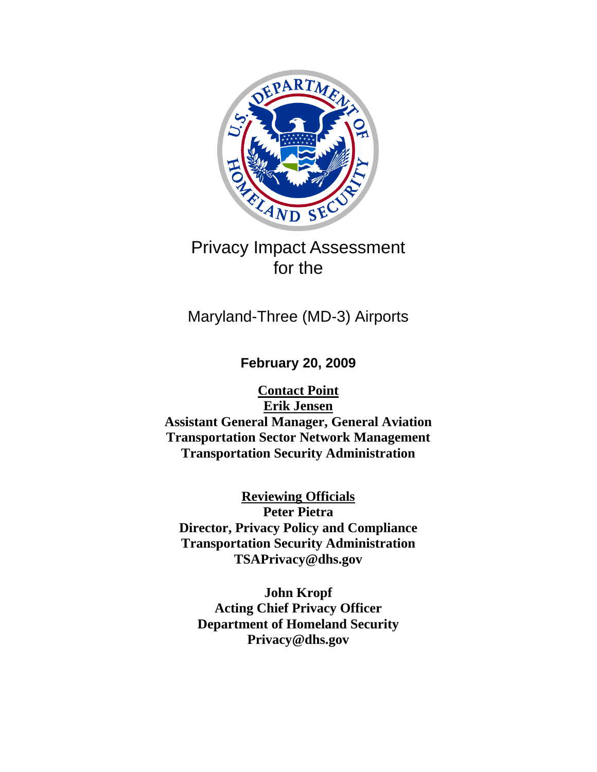

# Privacy Impact Assessment for the

# Maryland-Three (MD-3) Airports

**February 20, 2009** 

**Contact Point Erik Jensen Assistant General Manager, General Aviation Transportation Sector Network Management Transportation Security Administration** 

**Reviewing Officials Peter Pietra Director, Privacy Policy and Compliance Transportation Security Administration TSAPrivacy@dhs.gov** 

**John Kropf Acting Chief Privacy Officer Department of Homeland Security Privacy@dhs.gov**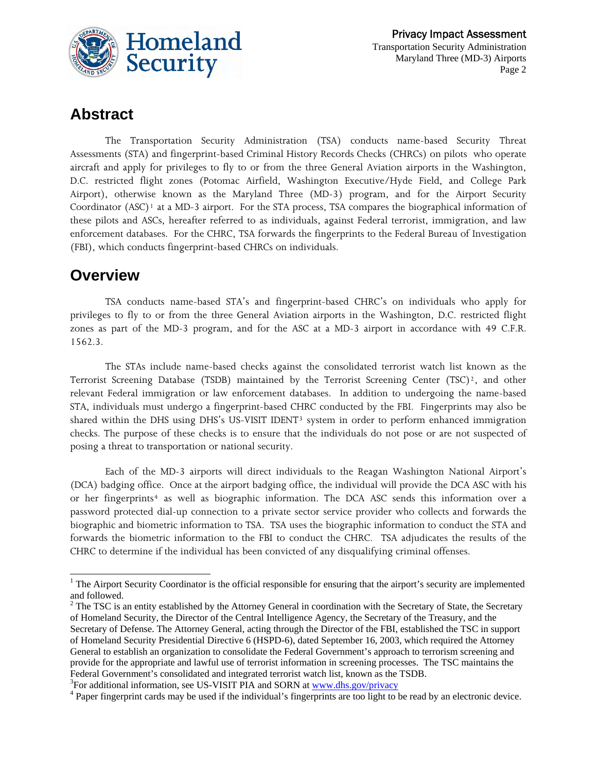

# **Abstract**

The Transportation Security Administration (TSA) conducts name-based Security Threat Assessments (STA) and fingerprint-based Criminal History Records Checks (CHRCs) on pilots who operate aircraft and apply for privileges to fly to or from the three General Aviation airports in the Washington, D.C. restricted flight zones (Potomac Airfield, Washington Executive/Hyde Field, and College Park Airport), otherwise known as the Maryland Three (MD-3) program, and for the Airport Security Coordinator (ASC)<sup>[1](#page-1-0)</sup> at a MD-3 airport. For the STA process, TSA compares the biographical information of these pilots and ASCs, hereafter referred to as individuals, against Federal terrorist, immigration, and law enforcement databases. For the CHRC, TSA forwards the fingerprints to the Federal Bureau of Investigation (FBI), which conducts fingerprint-based CHRCs on individuals.

# **Overview**

 $\overline{\phantom{a}}$ 

TSA conducts name-based STA's and fingerprint-based CHRC's on individuals who apply for privileges to fly to or from the three General Aviation airports in the Washington, D.C. restricted flight zones as part of the MD-3 program, and for the ASC at a MD-3 airport in accordance with 49 C.F.R. 1562.3.

 The STAs include name-based checks against the consolidated terrorist watch list known as the Terrorist Screening Database (TSDB) maintained by the Terrorist Screening Center (TSC)<sup>[2](#page-1-1)</sup>, and other relevant Federal immigration or law enforcement databases. In addition to undergoing the name-based STA, individuals must undergo a fingerprint-based CHRC conducted by the FBI. Fingerprints may also be shared within the DHS using DHS's US-VISIT IDENT[3](#page-1-2) system in order to perform enhanced immigration checks. The purpose of these checks is to ensure that the individuals do not pose or are not suspected of posing a threat to transportation or national security.

Each of the MD-3 airports will direct individuals to the Reagan Washington National Airport's (DCA) badging office. Once at the airport badging office, the individual will provide the DCA ASC with his or her fingerprints<sup>[4](#page-1-3)</sup> as well as biographic information. The DCA ASC sends this information over a password protected dial-up connection to a private sector service provider who collects and forwards the biographic and biometric information to TSA. TSA uses the biographic information to conduct the STA and forwards the biometric information to the FBI to conduct the CHRC. TSA adjudicates the results of the CHRC to determine if the individual has been convicted of any disqualifying criminal offenses.

<span id="page-1-2"></span><sup>3</sup>For additional information, see US-VISIT PIA and SORN at <u>www.dhs.gov/privacy</u>  $4 \text{ Pener}$  frequencies to the light to

<span id="page-1-0"></span> $<sup>1</sup>$  The Airport Security Coordinator is the official responsible for ensuring that the airport's security are implemented</sup> and followed.

<span id="page-1-1"></span> $2^2$  The TSC is an entity established by the Attorney General in coordination with the Secretary of State, the Secretary of Homeland Security, the Director of the Central Intelligence Agency, the Secretary of the Treasury, and the Secretary of Defense. The Attorney General, acting through the Director of the FBI, established the TSC in support of Homeland Security Presidential Directive 6 (HSPD-6), dated September 16, 2003, which required the Attorney General to establish an organization to consolidate the Federal Government's approach to terrorism screening and provide for the appropriate and lawful use of terrorist information in screening processes. The TSC maintains the Federal Government's consolidated and integrated terrorist watch list, known as the TSDB.

<span id="page-1-3"></span><sup>&</sup>lt;sup>4</sup> Paper fingerprint cards may be used if the individual's fingerprints are too light to be read by an electronic device.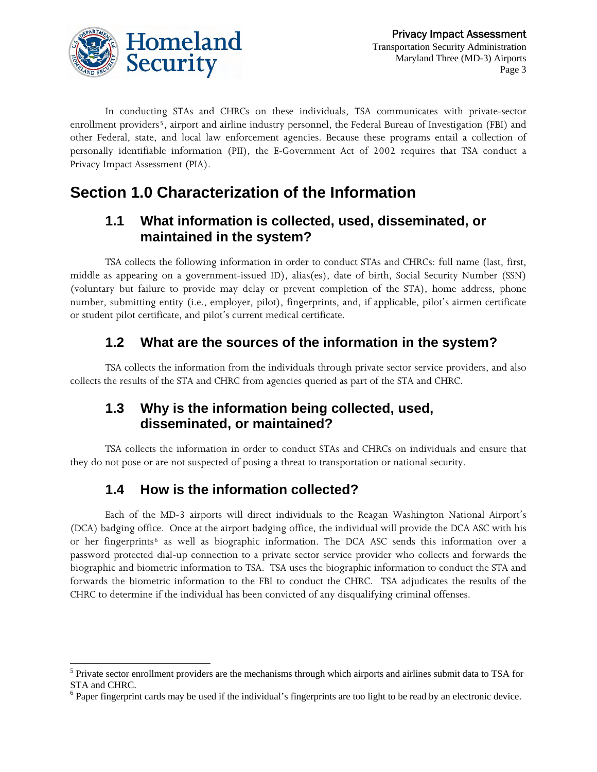

In conducting STAs and CHRCs on these individuals, TSA communicates with private-sector enrollment providers<sup>[5](#page-2-0)</sup>, airport and airline industry personnel, the Federal Bureau of Investigation (FBI) and other Federal, state, and local law enforcement agencies. Because these programs entail a collection of personally identifiable information (PII), the E-Government Act of 2002 requires that TSA conduct a Privacy Impact Assessment (PIA).

# **Section 1.0 Characterization of the Information**

#### **1.1 What information is collected, used, disseminated, or maintained in the system?**

TSA collects the following information in order to conduct STAs and CHRCs: full name (last, first, middle as appearing on a government-issued ID), alias(es), date of birth, Social Security Number (SSN) (voluntary but failure to provide may delay or prevent completion of the STA), home address, phone number, submitting entity (i.e., employer, pilot), fingerprints, and, if applicable, pilot's airmen certificate or student pilot certificate, and pilot's current medical certificate.

# **1.2 What are the sources of the information in the system?**

TSA collects the information from the individuals through private sector service providers, and also collects the results of the STA and CHRC from agencies queried as part of the STA and CHRC.

### **1.3 Why is the information being collected, used, disseminated, or maintained?**

TSA collects the information in order to conduct STAs and CHRCs on individuals and ensure that they do not pose or are not suspected of posing a threat to transportation or national security.

# **1.4 How is the information collected?**

l

Each of the MD-3 airports will direct individuals to the Reagan Washington National Airport's (DCA) badging office. Once at the airport badging office, the individual will provide the DCA ASC with his or her fingerprints<sup>[6](#page-2-1)</sup> as well as biographic information. The DCA ASC sends this information over a password protected dial-up connection to a private sector service provider who collects and forwards the biographic and biometric information to TSA. TSA uses the biographic information to conduct the STA and forwards the biometric information to the FBI to conduct the CHRC. TSA adjudicates the results of the CHRC to determine if the individual has been convicted of any disqualifying criminal offenses.

<span id="page-2-0"></span><sup>&</sup>lt;sup>5</sup> Private sector enrollment providers are the mechanisms through which airports and airlines submit data to TSA for STA and CHRC.

<span id="page-2-1"></span> $6$  Paper fingerprint cards may be used if the individual's fingerprints are too light to be read by an electronic device.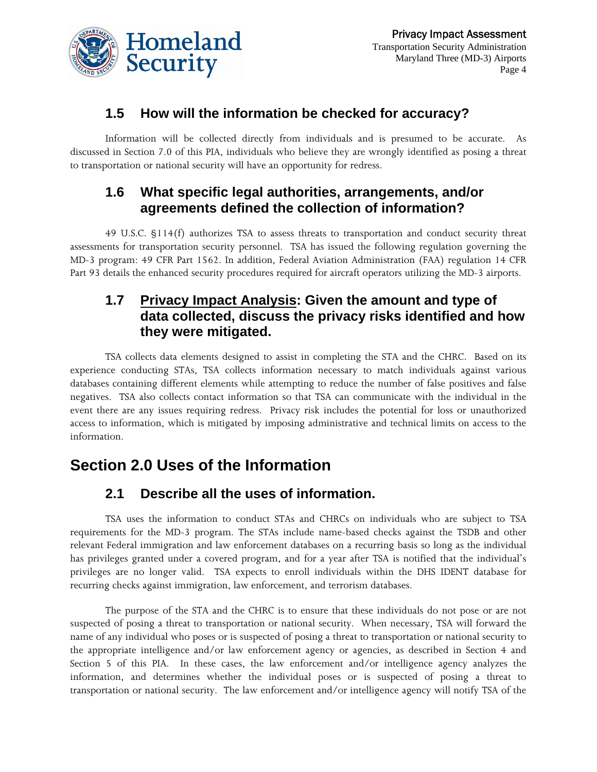

Information will be collected directly from individuals and is presumed to be accurate. As discussed in Section 7.0 of this PIA, individuals who believe they are wrongly identified as posing a threat to transportation or national security will have an opportunity for redress.

#### **1.6 What specific legal authorities, arrangements, and/or agreements defined the collection of information?**

49 U.S.C. §114(f) authorizes TSA to assess threats to transportation and conduct security threat assessments for transportation security personnel. TSA has issued the following regulation governing the MD-3 program: 49 CFR Part 1562. In addition, Federal Aviation Administration (FAA) regulation 14 CFR Part 93 details the enhanced security procedures required for aircraft operators utilizing the MD-3 airports.

#### **1.7 Privacy Impact Analysis: Given the amount and type of data collected, discuss the privacy risks identified and how they were mitigated.**

TSA collects data elements designed to assist in completing the STA and the CHRC. Based on its experience conducting STAs, TSA collects information necessary to match individuals against various databases containing different elements while attempting to reduce the number of false positives and false negatives. TSA also collects contact information so that TSA can communicate with the individual in the event there are any issues requiring redress. Privacy risk includes the potential for loss or unauthorized access to information, which is mitigated by imposing administrative and technical limits on access to the information.

# **Section 2.0 Uses of the Information**

### **2.1 Describe all the uses of information.**

TSA uses the information to conduct STAs and CHRCs on individuals who are subject to TSA requirements for the MD-3 program. The STAs include name-based checks against the TSDB and other relevant Federal immigration and law enforcement databases on a recurring basis so long as the individual has privileges granted under a covered program, and for a year after TSA is notified that the individual's privileges are no longer valid. TSA expects to enroll individuals within the DHS IDENT database for recurring checks against immigration, law enforcement, and terrorism databases.

The purpose of the STA and the CHRC is to ensure that these individuals do not pose or are not suspected of posing a threat to transportation or national security. When necessary, TSA will forward the name of any individual who poses or is suspected of posing a threat to transportation or national security to the appropriate intelligence and/or law enforcement agency or agencies, as described in Section 4 and Section 5 of this PIA. In these cases, the law enforcement and/or intelligence agency analyzes the information, and determines whether the individual poses or is suspected of posing a threat to transportation or national security. The law enforcement and/or intelligence agency will notify TSA of the

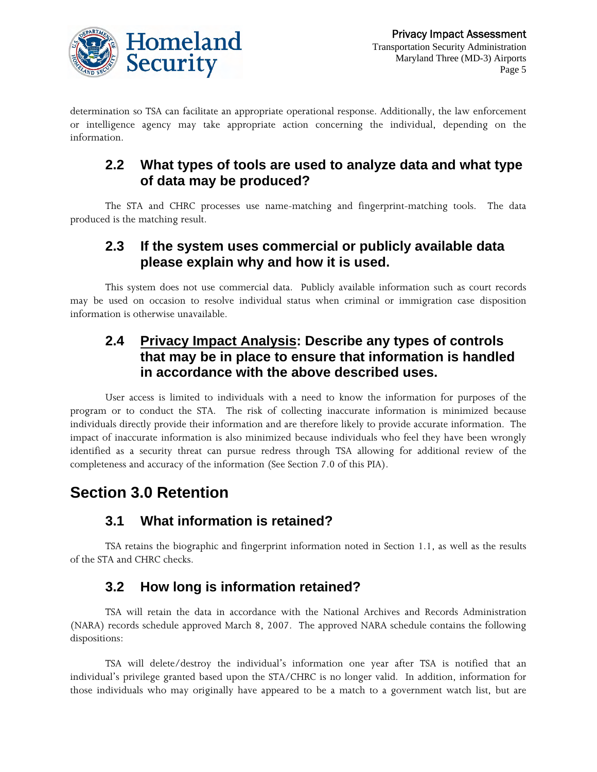

determination so TSA can facilitate an appropriate operational response. Additionally, the law enforcement or intelligence agency may take appropriate action concerning the individual, depending on the information.

### **2.2 What types of tools are used to analyze data and what type of data may be produced?**

The STA and CHRC processes use name-matching and fingerprint-matching tools. The data produced is the matching result.

### **2.3 If the system uses commercial or publicly available data please explain why and how it is used.**

This system does not use commercial data. Publicly available information such as court records may be used on occasion to resolve individual status when criminal or immigration case disposition information is otherwise unavailable.

### **2.4 Privacy Impact Analysis: Describe any types of controls that may be in place to ensure that information is handled in accordance with the above described uses.**

User access is limited to individuals with a need to know the information for purposes of the program or to conduct the STA. The risk of collecting inaccurate information is minimized because individuals directly provide their information and are therefore likely to provide accurate information. The impact of inaccurate information is also minimized because individuals who feel they have been wrongly identified as a security threat can pursue redress through TSA allowing for additional review of the completeness and accuracy of the information (See Section 7.0 of this PIA).

# **Section 3.0 Retention**

# **3.1 What information is retained?**

TSA retains the biographic and fingerprint information noted in Section 1.1, as well as the results of the STA and CHRC checks.

# **3.2 How long is information retained?**

TSA will retain the data in accordance with the National Archives and Records Administration (NARA) records schedule approved March 8, 2007. The approved NARA schedule contains the following dispositions:

TSA will delete/destroy the individual's information one year after TSA is notified that an individual's privilege granted based upon the STA/CHRC is no longer valid. In addition, information for those individuals who may originally have appeared to be a match to a government watch list, but are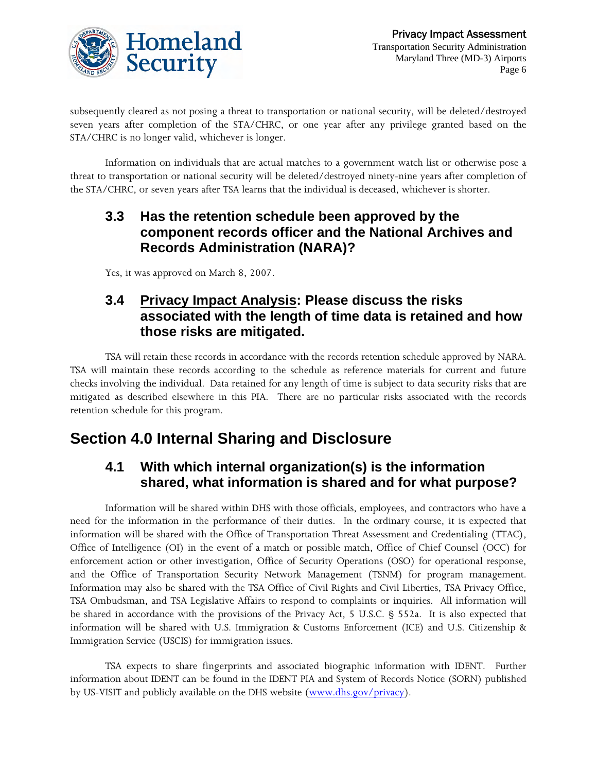

subsequently cleared as not posing a threat to transportation or national security, will be deleted/destroyed seven years after completion of the STA/CHRC, or one year after any privilege granted based on the STA/CHRC is no longer valid, whichever is longer.

Information on individuals that are actual matches to a government watch list or otherwise pose a threat to transportation or national security will be deleted/destroyed ninety-nine years after completion of the STA/CHRC, or seven years after TSA learns that the individual is deceased, whichever is shorter.

### **3.3 Has the retention schedule been approved by the component records officer and the National Archives and Records Administration (NARA)?**

Yes, it was approved on March 8, 2007.

### **3.4 Privacy Impact Analysis: Please discuss the risks associated with the length of time data is retained and how those risks are mitigated.**

TSA will retain these records in accordance with the records retention schedule approved by NARA. TSA will maintain these records according to the schedule as reference materials for current and future checks involving the individual. Data retained for any length of time is subject to data security risks that are mitigated as described elsewhere in this PIA. There are no particular risks associated with the records retention schedule for this program.

# **Section 4.0 Internal Sharing and Disclosure**

### **4.1 With which internal organization(s) is the information shared, what information is shared and for what purpose?**

Information will be shared within DHS with those officials, employees, and contractors who have a need for the information in the performance of their duties. In the ordinary course, it is expected that information will be shared with the Office of Transportation Threat Assessment and Credentialing (TTAC), Office of Intelligence (OI) in the event of a match or possible match, Office of Chief Counsel (OCC) for enforcement action or other investigation, Office of Security Operations (OSO) for operational response, and the Office of Transportation Security Network Management (TSNM) for program management. Information may also be shared with the TSA Office of Civil Rights and Civil Liberties, TSA Privacy Office, TSA Ombudsman, and TSA Legislative Affairs to respond to complaints or inquiries. All information will be shared in accordance with the provisions of the Privacy Act, 5 U.S.C. § 552a. It is also expected that information will be shared with U.S. Immigration & Customs Enforcement (ICE) and U.S. Citizenship & Immigration Service (USCIS) for immigration issues.

TSA expects to share fingerprints and associated biographic information with IDENT. Further information about IDENT can be found in the IDENT PIA and System of Records Notice (SORN) published by US-VISIT and publicly available on the DHS website [\(www.dhs.gov/privacy\)](http://www.dhs.gov/privacy).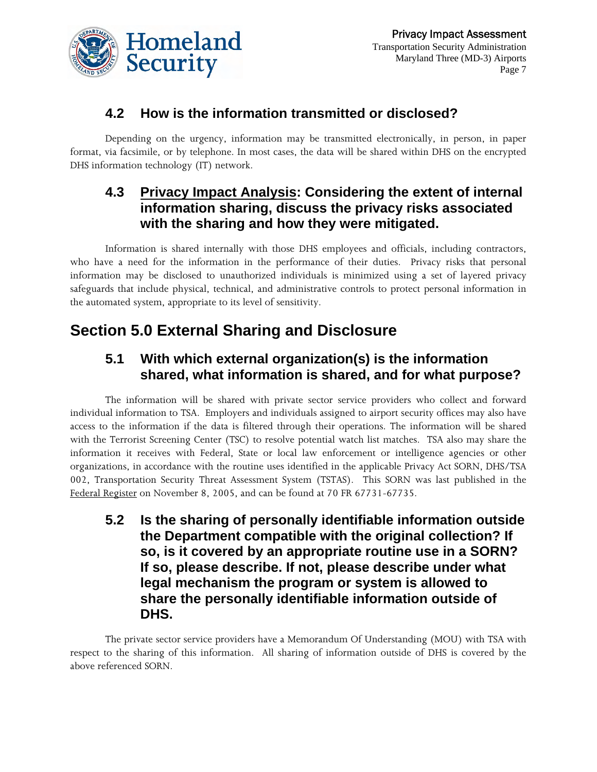

### **4.2 How is the information transmitted or disclosed?**

Depending on the urgency, information may be transmitted electronically, in person, in paper format, via facsimile, or by telephone. In most cases, the data will be shared within DHS on the encrypted DHS information technology (IT) network.

### **4.3 Privacy Impact Analysis: Considering the extent of internal information sharing, discuss the privacy risks associated with the sharing and how they were mitigated.**

Information is shared internally with those DHS employees and officials, including contractors, who have a need for the information in the performance of their duties. Privacy risks that personal information may be disclosed to unauthorized individuals is minimized using a set of layered privacy safeguards that include physical, technical, and administrative controls to protect personal information in the automated system, appropriate to its level of sensitivity.

# **Section 5.0 External Sharing and Disclosure**

### **5.1 With which external organization(s) is the information shared, what information is shared, and for what purpose?**

The information will be shared with private sector service providers who collect and forward individual information to TSA. Employers and individuals assigned to airport security offices may also have access to the information if the data is filtered through their operations. The information will be shared with the Terrorist Screening Center (TSC) to resolve potential watch list matches. TSA also may share the information it receives with Federal, State or local law enforcement or intelligence agencies or other organizations, in accordance with the routine uses identified in the applicable Privacy Act SORN, DHS/TSA 002, Transportation Security Threat Assessment System (TSTAS). This SORN was last published in the Federal Register on November 8, 2005, and can be found at 70 FR 67731-67735.

**5.2 Is the sharing of personally identifiable information outside the Department compatible with the original collection? If so, is it covered by an appropriate routine use in a SORN? If so, please describe. If not, please describe under what legal mechanism the program or system is allowed to share the personally identifiable information outside of DHS.** 

The private sector service providers have a Memorandum Of Understanding (MOU) with TSA with respect to the sharing of this information. All sharing of information outside of DHS is covered by the above referenced SORN.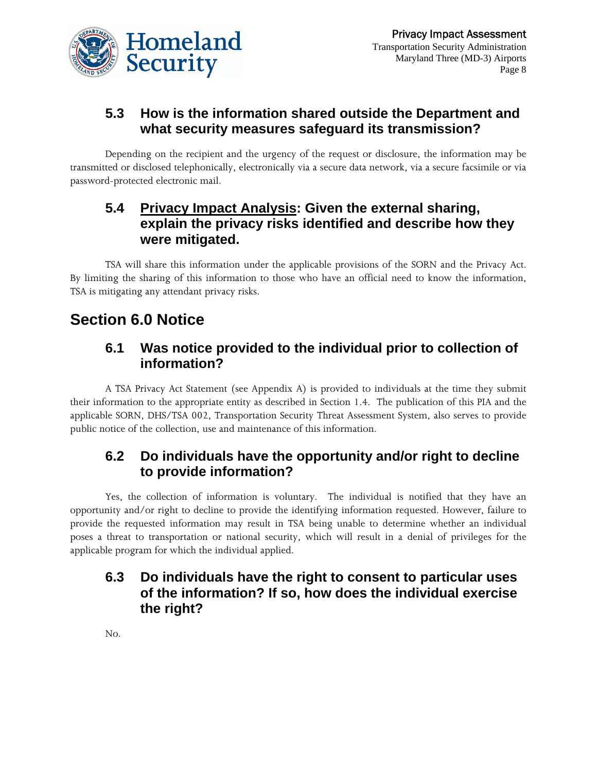

# **5.3 How is the information shared outside the Department and what security measures safeguard its transmission?**

Depending on the recipient and the urgency of the request or disclosure, the information may be transmitted or disclosed telephonically, electronically via a secure data network, via a secure facsimile or via password-protected electronic mail.

### **5.4 Privacy Impact Analysis: Given the external sharing, explain the privacy risks identified and describe how they were mitigated.**

TSA will share this information under the applicable provisions of the SORN and the Privacy Act. By limiting the sharing of this information to those who have an official need to know the information, TSA is mitigating any attendant privacy risks.

# **Section 6.0 Notice**

### **6.1 Was notice provided to the individual prior to collection of information?**

A TSA Privacy Act Statement (see Appendix A) is provided to individuals at the time they submit their information to the appropriate entity as described in Section 1.4. The publication of this PIA and the applicable SORN, DHS/TSA 002, Transportation Security Threat Assessment System, also serves to provide public notice of the collection, use and maintenance of this information.

### **6.2 Do individuals have the opportunity and/or right to decline to provide information?**

Yes, the collection of information is voluntary. The individual is notified that they have an opportunity and/or right to decline to provide the identifying information requested. However, failure to provide the requested information may result in TSA being unable to determine whether an individual poses a threat to transportation or national security, which will result in a denial of privileges for the applicable program for which the individual applied.

### **6.3 Do individuals have the right to consent to particular uses of the information? If so, how does the individual exercise the right?**

No.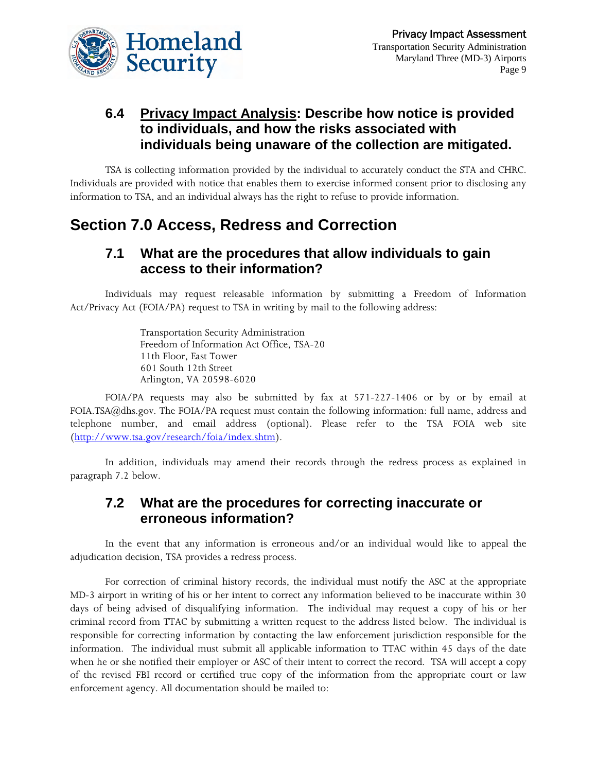

### **6.4 Privacy Impact Analysis: Describe how notice is provided to individuals, and how the risks associated with individuals being unaware of the collection are mitigated.**

TSA is collecting information provided by the individual to accurately conduct the STA and CHRC. Individuals are provided with notice that enables them to exercise informed consent prior to disclosing any information to TSA, and an individual always has the right to refuse to provide information.

# **Section 7.0 Access, Redress and Correction**

#### **7.1 What are the procedures that allow individuals to gain access to their information?**

Individuals may request releasable information by submitting a Freedom of Information Act/Privacy Act (FOIA/PA) request to TSA in writing by mail to the following address:

> Transportation Security Administration Freedom of Information Act Office, TSA-20 11th Floor, East Tower 601 South 12th Street Arlington, VA 20598-6020

FOIA/PA requests may also be submitted by fax at 571-227-1406 or by or by email at FOIA.TSA@dhs.gov. The FOIA/PA request must contain the following information: full name, address and telephone number, and email address (optional). Please refer to the TSA FOIA web site [\(http://www.tsa.gov/research/foia/index.shtm](http://www.tsa.gov/research/foia/index.shtm)).

In addition, individuals may amend their records through the redress process as explained in paragraph 7.2 below.

### **7.2 What are the procedures for correcting inaccurate or erroneous information?**

In the event that any information is erroneous and/or an individual would like to appeal the adjudication decision, TSA provides a redress process.

For correction of criminal history records, the individual must notify the ASC at the appropriate MD-3 airport in writing of his or her intent to correct any information believed to be inaccurate within 30 days of being advised of disqualifying information. The individual may request a copy of his or her criminal record from TTAC by submitting a written request to the address listed below. The individual is responsible for correcting information by contacting the law enforcement jurisdiction responsible for the information. The individual must submit all applicable information to TTAC within 45 days of the date when he or she notified their employer or ASC of their intent to correct the record. TSA will accept a copy of the revised FBI record or certified true copy of the information from the appropriate court or law enforcement agency. All documentation should be mailed to: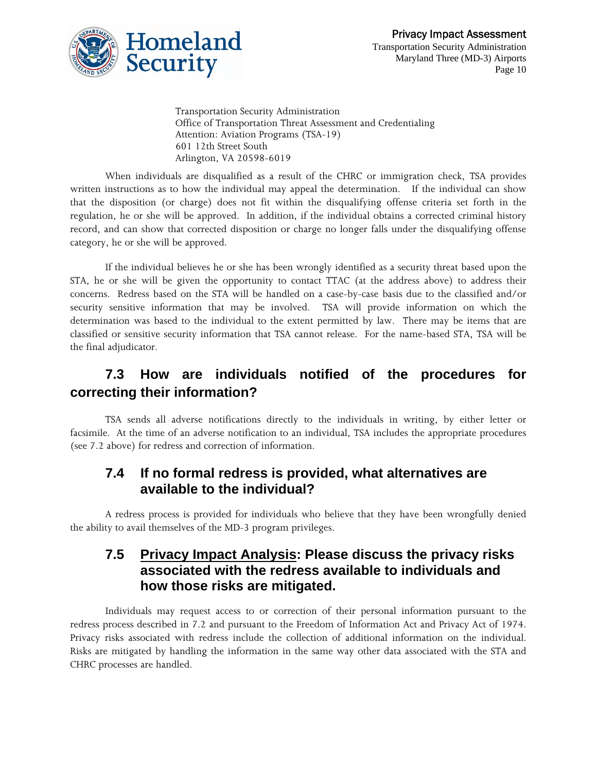

Transportation Security Administration Office of Transportation Threat Assessment and Credentialing Attention: Aviation Programs (TSA-19) 601 12th Street South Arlington, VA 20598-6019

When individuals are disqualified as a result of the CHRC or immigration check, TSA provides written instructions as to how the individual may appeal the determination. If the individual can show that the disposition (or charge) does not fit within the disqualifying offense criteria set forth in the regulation, he or she will be approved. In addition, if the individual obtains a corrected criminal history record, and can show that corrected disposition or charge no longer falls under the disqualifying offense category, he or she will be approved.

If the individual believes he or she has been wrongly identified as a security threat based upon the STA, he or she will be given the opportunity to contact TTAC (at the address above) to address their concerns. Redress based on the STA will be handled on a case-by-case basis due to the classified and/or security sensitive information that may be involved. TSA will provide information on which the determination was based to the individual to the extent permitted by law. There may be items that are classified or sensitive security information that TSA cannot release. For the name-based STA, TSA will be the final adjudicator.

# **7.3 How are individuals notified of the procedures for correcting their information?**

TSA sends all adverse notifications directly to the individuals in writing, by either letter or facsimile. At the time of an adverse notification to an individual, TSA includes the appropriate procedures (see 7.2 above) for redress and correction of information.

#### **7.4 If no formal redress is provided, what alternatives are available to the individual?**

A redress process is provided for individuals who believe that they have been wrongfully denied the ability to avail themselves of the MD-3 program privileges.

#### **7.5 Privacy Impact Analysis: Please discuss the privacy risks associated with the redress available to individuals and how those risks are mitigated.**

Individuals may request access to or correction of their personal information pursuant to the redress process described in 7.2 and pursuant to the Freedom of Information Act and Privacy Act of 1974. Privacy risks associated with redress include the collection of additional information on the individual. Risks are mitigated by handling the information in the same way other data associated with the STA and CHRC processes are handled.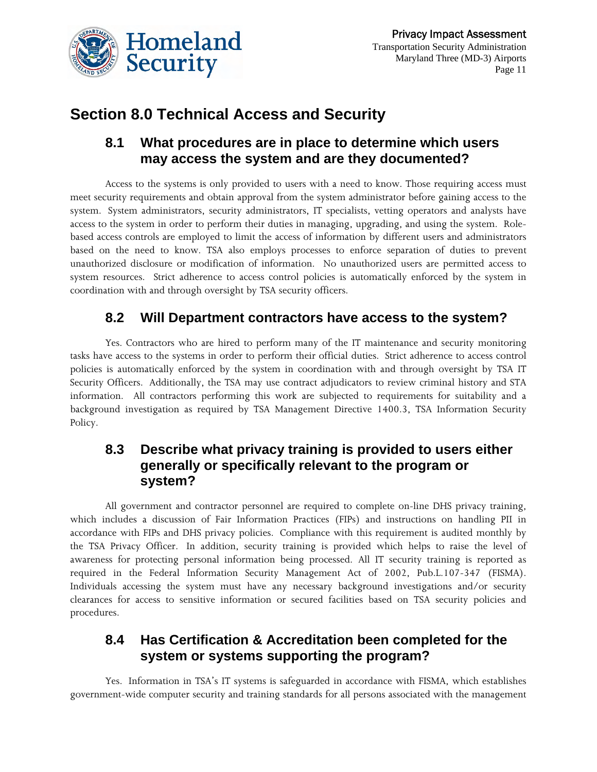

# **Section 8.0 Technical Access and Security**

#### **8.1 What procedures are in place to determine which users may access the system and are they documented?**

Access to the systems is only provided to users with a need to know. Those requiring access must meet security requirements and obtain approval from the system administrator before gaining access to the system. System administrators, security administrators, IT specialists, vetting operators and analysts have access to the system in order to perform their duties in managing, upgrading, and using the system. Rolebased access controls are employed to limit the access of information by different users and administrators based on the need to know. TSA also employs processes to enforce separation of duties to prevent unauthorized disclosure or modification of information. No unauthorized users are permitted access to system resources. Strict adherence to access control policies is automatically enforced by the system in coordination with and through oversight by TSA security officers.

# **8.2 Will Department contractors have access to the system?**

Yes. Contractors who are hired to perform many of the IT maintenance and security monitoring tasks have access to the systems in order to perform their official duties. Strict adherence to access control policies is automatically enforced by the system in coordination with and through oversight by TSA IT Security Officers. Additionally, the TSA may use contract adjudicators to review criminal history and STA information. All contractors performing this work are subjected to requirements for suitability and a background investigation as required by TSA Management Directive 1400.3, TSA Information Security Policy.

### **8.3 Describe what privacy training is provided to users either generally or specifically relevant to the program or system?**

All government and contractor personnel are required to complete on-line DHS privacy training, which includes a discussion of Fair Information Practices (FIPs) and instructions on handling PII in accordance with FIPs and DHS privacy policies. Compliance with this requirement is audited monthly by the TSA Privacy Officer. In addition, security training is provided which helps to raise the level of awareness for protecting personal information being processed. All IT security training is reported as required in the Federal Information Security Management Act of 2002, Pub.L.107-347 (FISMA). Individuals accessing the system must have any necessary background investigations and/or security clearances for access to sensitive information or secured facilities based on TSA security policies and procedures.

### **8.4 Has Certification & Accreditation been completed for the system or systems supporting the program?**

Yes. Information in TSA's IT systems is safeguarded in accordance with FISMA, which establishes government-wide computer security and training standards for all persons associated with the management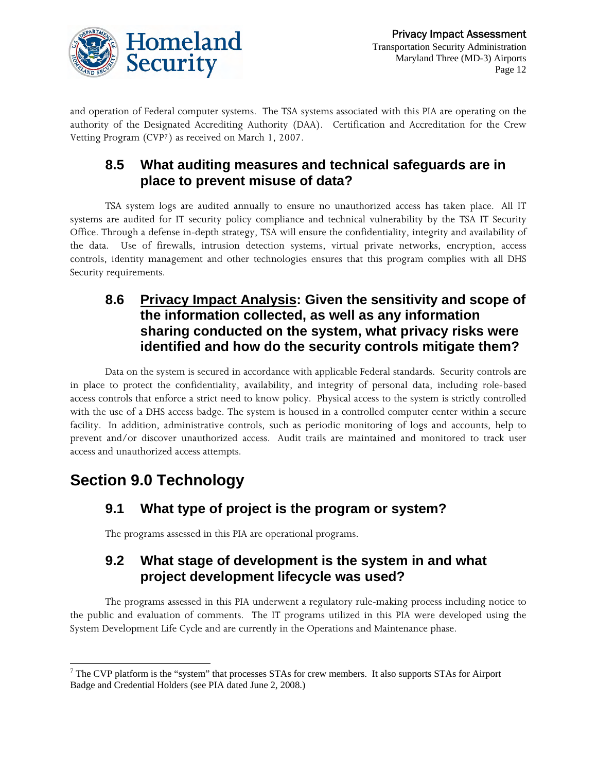

and operation of Federal computer systems. The TSA systems associated with this PIA are operating on the authority of the Designated Accrediting Authority (DAA). Certification and Accreditation for the Crew Vetting Program (CVP[7](#page-11-0)) as received on March 1, 2007.

# **8.5 What auditing measures and technical safeguards are in place to prevent misuse of data?**

TSA system logs are audited annually to ensure no unauthorized access has taken place. All IT systems are audited for IT security policy compliance and technical vulnerability by the TSA IT Security Office. Through a defense in-depth strategy, TSA will ensure the confidentiality, integrity and availability of the data. Use of firewalls, intrusion detection systems, virtual private networks, encryption, access controls, identity management and other technologies ensures that this program complies with all DHS Security requirements.

### **8.6 Privacy Impact Analysis: Given the sensitivity and scope of the information collected, as well as any information sharing conducted on the system, what privacy risks were identified and how do the security controls mitigate them?**

Data on the system is secured in accordance with applicable Federal standards. Security controls are in place to protect the confidentiality, availability, and integrity of personal data, including role-based access controls that enforce a strict need to know policy. Physical access to the system is strictly controlled with the use of a DHS access badge. The system is housed in a controlled computer center within a secure facility. In addition, administrative controls, such as periodic monitoring of logs and accounts, help to prevent and/or discover unauthorized access. Audit trails are maintained and monitored to track user access and unauthorized access attempts.

# **Section 9.0 Technology**

# **9.1 What type of project is the program or system?**

The programs assessed in this PIA are operational programs.

### **9.2 What stage of development is the system in and what project development lifecycle was used?**

The programs assessed in this PIA underwent a regulatory rule-making process including notice to the public and evaluation of comments. The IT programs utilized in this PIA were developed using the System Development Life Cycle and are currently in the Operations and Maintenance phase.

<span id="page-11-0"></span>l  $7$  The CVP platform is the "system" that processes STAs for crew members. It also supports STAs for Airport Badge and Credential Holders (see PIA dated June 2, 2008.)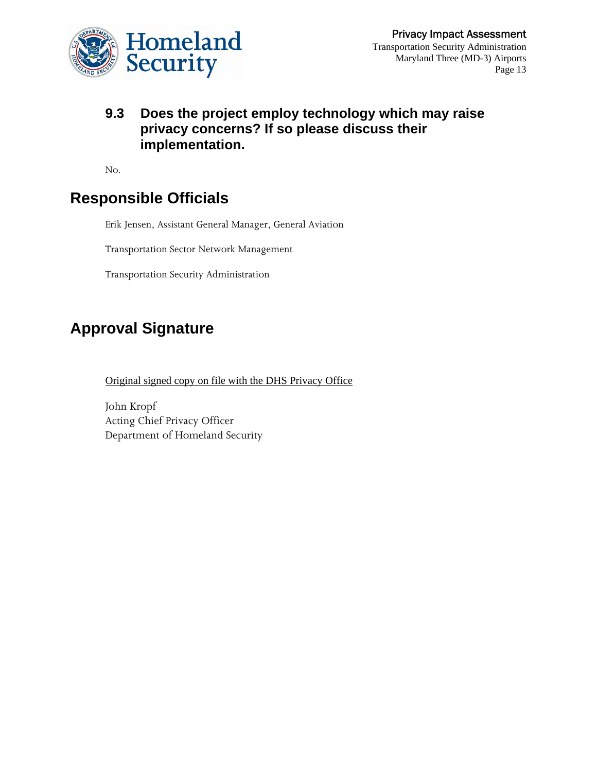

#### **9.3 Does the project employ technology which may raise privacy concerns? If so please discuss their implementation.**

No.

# **Responsible Officials**

Erik Jensen, Assistant General Manager, General Aviation

Transportation Sector Network Management

Transportation Security Administration

# **Approval Signature**

Original signed copy on file with the DHS Privacy Office

John Kropf Acting Chief Privacy Officer Department of Homeland Security